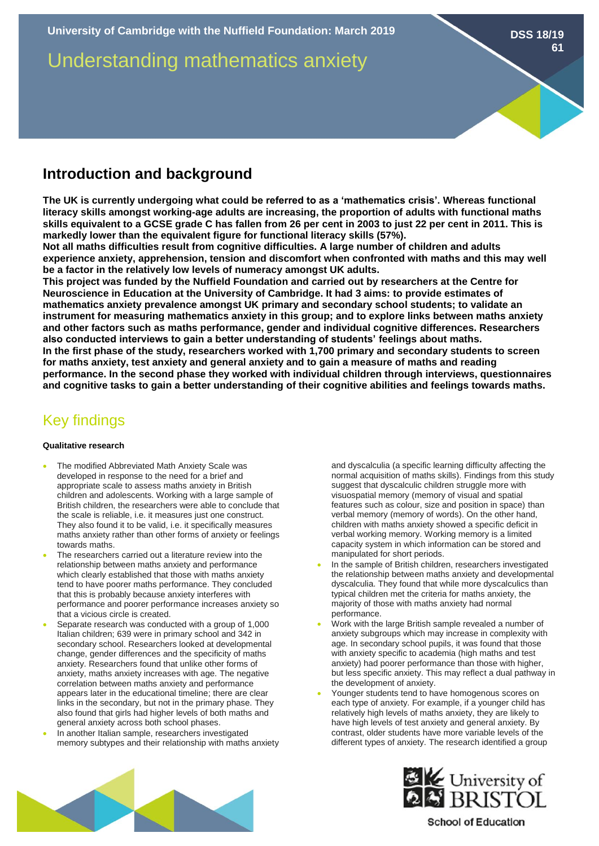Understanding mathematics anxiety

# **Introduction and background**

**The UK is currently undergoing what could be referred to as a 'mathematics crisis'. Whereas functional literacy skills amongst working-age adults are increasing, the proportion of adults with functional maths skills equivalent to a GCSE grade C has fallen from 26 per cent in 2003 to just 22 per cent in 2011. This is markedly lower than the equivalent figure for functional literacy skills (57%).**

**Not all maths difficulties result from cognitive difficulties. A large number of children and adults experience anxiety, apprehension, tension and discomfort when confronted with maths and this may well be a factor in the relatively low levels of numeracy amongst UK adults.** 

**This project was funded by the Nuffield Foundation and carried out by researchers at the Centre for Neuroscience in Education at the University of Cambridge. It had 3 aims: to provide estimates of mathematics anxiety prevalence amongst UK primary and secondary school students; to validate an instrument for measuring mathematics anxiety in this group; and to explore links between maths anxiety and other factors such as maths performance, gender and individual cognitive differences. Researchers also conducted interviews to gain a better understanding of students' feelings about maths. In the first phase of the study, researchers worked with 1,700 primary and secondary students to screen for maths anxiety, test anxiety and general anxiety and to gain a measure of maths and reading performance. In the second phase they worked with individual children through interviews, questionnaires and cognitive tasks to gain a better understanding of their cognitive abilities and feelings towards maths.** 

# Key findings

### **Qualitative research**

- The modified Abbreviated Math Anxiety Scale was developed in response to the need for a brief and appropriate scale to assess maths anxiety in British children and adolescents. Working with a large sample of British children, the researchers were able to conclude that the scale is reliable, i.e. it measures just one construct. They also found it to be valid, i.e. it specifically measures maths anxiety rather than other forms of anxiety or feelings towards maths.
- The researchers carried out a literature review into the relationship between maths anxiety and performance which clearly established that those with maths anxiety tend to have poorer maths performance. They concluded that this is probably because anxiety interferes with performance and poorer performance increases anxiety so that a vicious circle is created.
- Separate research was conducted with a group of 1,000 Italian children; 639 were in primary school and 342 in secondary school. Researchers looked at developmental change, gender differences and the specificity of maths anxiety. Researchers found that unlike other forms of anxiety, maths anxiety increases with age. The negative correlation between maths anxiety and performance appears later in the educational timeline; there are clear links in the secondary, but not in the primary phase. They also found that girls had higher levels of both maths and general anxiety across both school phases.
- In another Italian sample, researchers investigated memory subtypes and their relationship with maths anxiety

and dyscalculia (a specific learning difficulty affecting the normal acquisition of maths skills). Findings from this study suggest that dyscalculic children struggle more with visuospatial memory (memory of visual and spatial features such as colour, size and position in space) than verbal memory (memory of words). On the other hand, children with maths anxiety showed a specific deficit in verbal working memory. Working memory is a limited capacity system in which information can be stored and manipulated for short periods.

**DSS 18/19**

**61**

- In the sample of British children, researchers investigated the relationship between maths anxiety and developmental dyscalculia. They found that while more dyscalculics than typical children met the criteria for maths anxiety, the majority of those with maths anxiety had normal performance.
- Work with the large British sample revealed a number of anxiety subgroups which may increase in complexity with age. In secondary school pupils, it was found that those with anxiety specific to academia (high maths and test anxiety) had poorer performance than those with higher, but less specific anxiety. This may reflect a dual pathway in the development of anxiety.
- Younger students tend to have homogenous scores on each type of anxiety. For example, if a younger child has relatively high levels of maths anxiety, they are likely to have high levels of test anxiety and general anxiety. By contrast, older students have more variable levels of the different types of anxiety. The research identified a group





**School of Education**